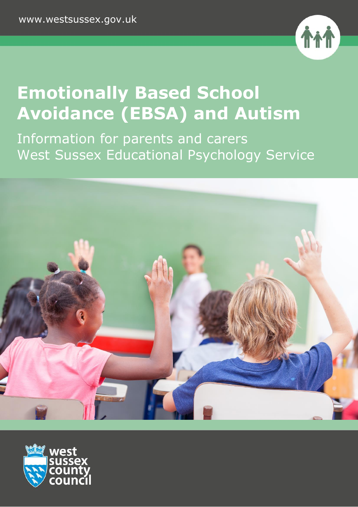

# **Emotionally Based School Avoidance (EBSA) and Autism**

Information for parents and carers West Sussex Educational Psychology Service



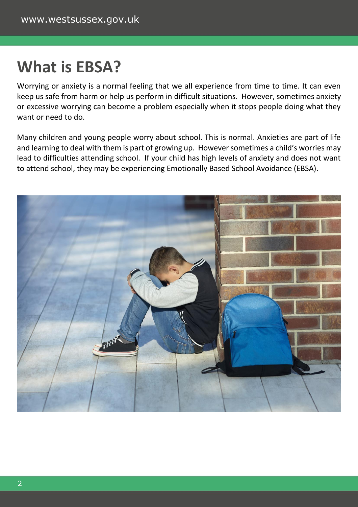#### **What is EBSA?**

Worrying or anxiety is a normal feeling that we all experience from time to time. It can even keep us safe from harm or help us perform in difficult situations. However, sometimes anxiety or excessive worrying can become a problem especially when it stops people doing what they want or need to do.

Many children and young people worry about school. This is normal. Anxieties are part of life and learning to deal with them is part of growing up. However sometimes a child's worries may lead to difficulties attending school. If your child has high levels of anxiety and does not want to attend school, they may be experiencing Emotionally Based School Avoidance (EBSA).

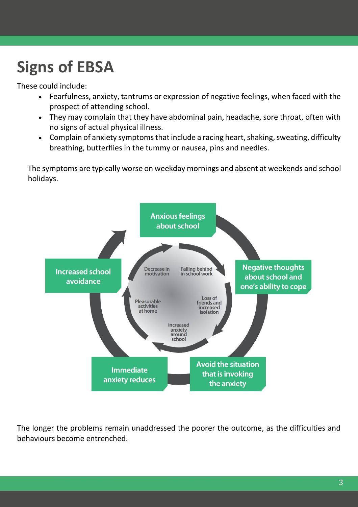# **Signs of EBSA**

These could include:

- Fearfulness, anxiety, tantrums or expression of negative feelings, when faced with the prospect of attending school.
- They may complain that they have abdominal pain, headache, sore throat, often with no signs of actual physical illness.
- Complain of anxiety symptoms that include a racing heart, shaking, sweating, difficulty breathing, butterflies in the tummy or nausea, pins and needles.

The symptoms are typically worse on weekday mornings and absent at weekends and school holidays.



The longer the problems remain unaddressed the poorer the outcome, as the difficulties and behaviours become entrenched.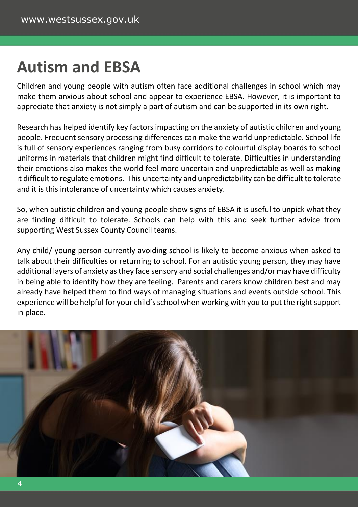### **Autism and EBSA**

Children and young people with autism often face additional challenges in school which may make them anxious about school and appear to experience EBSA. However, it is important to appreciate that anxiety is not simply a part of autism and can be supported in its own right.

Research has helped identify key factors impacting on the anxiety of autistic children and young people. Frequent sensory processing differences can make the world unpredictable. School life is full of sensory experiences ranging from busy corridors to colourful display boards to school uniforms in materials that children might find difficult to tolerate. Difficulties in understanding their emotions also makes the world feel more uncertain and unpredictable as well as making it difficult to regulate emotions. This uncertainty and unpredictability can be difficult to tolerate and it is this intolerance of uncertainty which causes anxiety.

So, when autistic children and young people show signs of EBSA it is useful to unpick what they are finding difficult to tolerate. Schools can help with this and seek further advice from supporting West Sussex County Council teams.

Any child/ young person currently avoiding school is likely to become anxious when asked to talk about their difficulties or returning to school. For an autistic young person, they may have additional layers of anxiety as they face sensory and social challenges and/or may have difficulty in being able to identify how they are feeling. Parents and carers know children best and may already have helped them to find ways of managing situations and events outside school. This experience will be helpful for your child's school when working with you to put the right support in place.

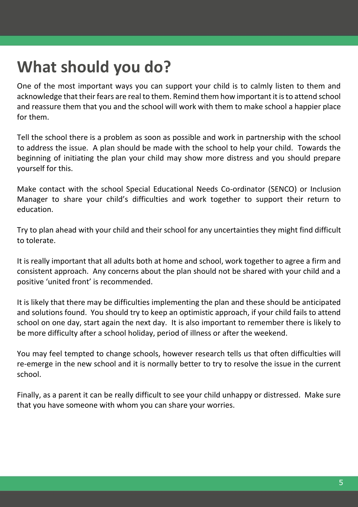## **What should you do?**

One of the most important ways you can support your child is to calmly listen to them and acknowledge that their fears are real to them. Remind them how important it is to attend school and reassure them that you and the school will work with them to make school a happier place for them.

Tell the school there is a problem as soon as possible and work in partnership with the school to address the issue. A plan should be made with the school to help your child. Towards the beginning of initiating the plan your child may show more distress and you should prepare yourself for this.

Make contact with the school Special Educational Needs Co-ordinator (SENCO) or Inclusion Manager to share your child's difficulties and work together to support their return to education.

Try to plan ahead with your child and their school for any uncertainties they might find difficult to tolerate.

It is really important that all adults both at home and school, work together to agree a firm and consistent approach. Any concerns about the plan should not be shared with your child and a positive 'united front' is recommended.

It is likely that there may be difficulties implementing the plan and these should be anticipated and solutions found. You should try to keep an optimistic approach, if your child fails to attend school on one day, start again the next day. It is also important to remember there is likely to be more difficulty after a school holiday, period of illness or after the weekend.

You may feel tempted to change schools, however research tells us that often difficulties will re-emerge in the new school and it is normally better to try to resolve the issue in the current school.

Finally, as a parent it can be really difficult to see your child unhappy or distressed. Make sure that you have someone with whom you can share your worries.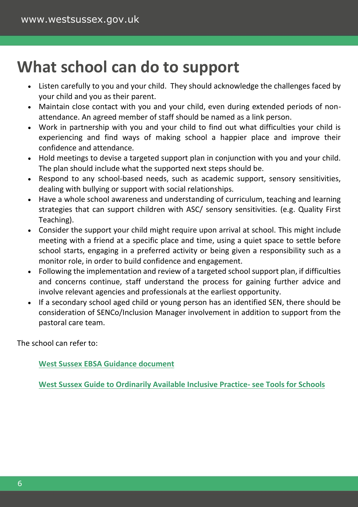### **What school can do to support**

- Listen carefully to you and your child. They should acknowledge the challenges faced by your child and you as their parent.
- Maintain close contact with you and your child, even during extended periods of nonattendance. An agreed member of staff should be named as a link person.
- Work in partnership with you and your child to find out what difficulties your child is experiencing and find ways of making school a happier place and improve their confidence and attendance.
- Hold meetings to devise a targeted support plan in conjunction with you and your child. The plan should include what the supported next steps should be.
- Respond to any school-based needs, such as academic support, sensory sensitivities, dealing with bullying or support with social relationships.
- Have a whole school awareness and understanding of curriculum, teaching and learning strategies that can support children with ASC/ sensory sensitivities. (e.g. Quality First Teaching).
- Consider the support your child might require upon arrival at school. This might include meeting with a friend at a specific place and time, using a quiet space to settle before school starts, engaging in a preferred activity or being given a responsibility such as a monitor role, in order to build confidence and engagement.
- Following the implementation and review of a targeted school support plan, if difficulties and concerns continue, staff understand the process for gaining further advice and involve relevant agencies and professionals at the earliest opportunity.
- If a secondary school aged child or young person has an identified SEN, there should be consideration of SENCo/Inclusion Manager involvement in addition to support from the pastoral care team.

The school can refer to:

**[West Sussex EBSA Guidance document](https://schools.westsussex.gov.uk/Page/10483)**

**[West Sussex Guide to Ordinarily Available Inclusive Practice-](https://westsussex.local-offer.org/information_pages/484-preparing-for-adulthood) see Tools for Schools**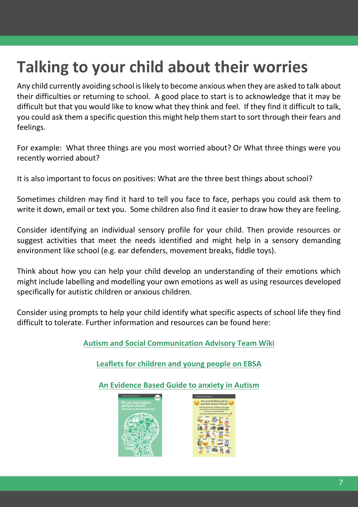## **Talking to your child about their worries**

Any child currently avoiding school is likely to become anxious when they are asked to talk about their difficulties or returning to school. A good place to start is to acknowledge that it may be difficult but that you would like to know what they think and feel. If they find it difficult to talk, you could ask them a specific question this might help them start to sort through their fears and feelings.

For example: What three things are you most worried about? Or What three things were you recently worried about?

It is also important to focus on positives: What are the three best things about school?

Sometimes children may find it hard to tell you face to face, perhaps you could ask them to write it down, email or text you. Some children also find it easier to draw how they are feeling.

Consider identifying an individual sensory profile for your child. Then provide resources or suggest activities that meet the needs identified and might help in a sensory demanding environment like school (e.g. ear defenders, movement breaks, fiddle toys).

Think about how you can help your child develop an understanding of their emotions which might include labelling and modelling your own emotions as well as using resources developed specifically for autistic children or anxious children.

Consider using prompts to help your child identify what specific aspects of school life they find difficult to tolerate. Further information and resources can be found here:

**[Autism and Social Communication Advisory Team Wiki](https://wiki.rixwiki.org/west-sussex-mmm/home/asc-team-wiki)**

**[Leaflets for children and young people on EBSA](https://westsussex.local-offer.org/information_pages/460-emotionally-based-school-avoidance)**

**[An Evidence Based Guide to anxiety in Autism](https://www.city.ac.uk/__data/assets/pdf_file/0010/466039/Anxiety-in-Autism-A5-guide.pdf)**